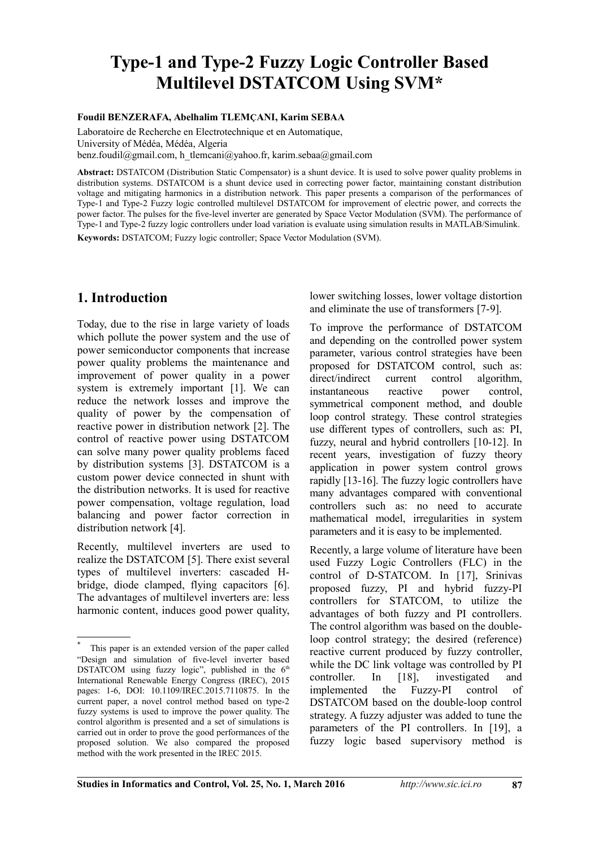# **Type-1 and Type-2 Fuzzy Logic Controller Based Multilevel DSTATCOM Using SVM\***

#### **Foudil BENZERAFA, Abelhalim TLEMÇANI, Karim SEBAA**

Laboratoire de Recherche en Electrotechnique et en Automatique, University of Médéa, Médéa, Algeria benz.foudil@gmail.com, h\_tlemcani@yahoo.fr, karim.sebaa@gmail.com

**Abstract:** DSTATCOM (Distribution Static Compensator) is a shunt device. It is used to solve power quality problems in distribution systems. DSTATCOM is a shunt device used in correcting power factor, maintaining constant distribution voltage and mitigating harmonics in a distribution network*.* This paper presents a comparison of the performances of Type-1 and Type-2 Fuzzy logic controlled multilevel DSTATCOM for improvement of electric power, and corrects the power factor. The pulses for the five-level inverter are generated by Space Vector Modulation (SVM). The performance of Type-1 and Type-2 fuzzy logic controllers under load variation is evaluate using simulation results in MATLAB/Simulink. **Keywords:** DSTATCOM; Fuzzy logic controller; Space Vector Modulation (SVM).

## **1. Introduction[\\*](#page-0-0)**

Today, due to the rise in large variety of loads which pollute the power system and the use of power semiconductor components that increase power quality problems the maintenance and improvement of power quality in a power system is extremely important [1]. We can reduce the network losses and improve the quality of power by the compensation of reactive power in distribution network [2]. The control of reactive power using DSTATCOM can solve many power quality problems faced by distribution systems [3]. DSTATCOM is a custom power device connected in shunt with the distribution networks. It is used for reactive power compensation, voltage regulation, load balancing and power factor correction in distribution network [4].

Recently, multilevel inverters are used to realize the DSTATCOM [5]. There exist several types of multilevel inverters: cascaded Hbridge, diode clamped, flying capacitors [6]. The advantages of multilevel inverters are: less harmonic content, induces good power quality,

lower switching losses, lower voltage distortion and eliminate the use of transformers [7-9].

To improve the performance of DSTATCOM and depending on the controlled power system parameter, various control strategies have been proposed for DSTATCOM control, such as: direct/indirect current control algorithm, instantaneous reactive power control, symmetrical component method, and double loop control strategy. These control strategies use different types of controllers, such as: PI, fuzzy, neural and hybrid controllers [10-12]. In recent years, investigation of fuzzy theory application in power system control grows rapidly [13-16]. The fuzzy logic controllers have many advantages compared with conventional controllers such as: no need to accurate mathematical model, irregularities in system parameters and it is easy to be implemented.

Recently, a large volume of literature have been used Fuzzy Logic Controllers (FLC) in the control of D-STATCOM. In [17], Srinivas proposed fuzzy, PI and hybrid fuzzy-PI controllers for STATCOM, to utilize the advantages of both fuzzy and PI controllers. The control algorithm was based on the doubleloop control strategy; the desired (reference) reactive current produced by fuzzy controller, while the DC link voltage was controlled by PI controller. In [18], investigated and implemented the Fuzzy-PI control of DSTATCOM based on the double-loop control strategy. A fuzzy adjuster was added to tune the parameters of the PI controllers. In [19], a fuzzy logic based supervisory method is

<span id="page-0-0"></span><sup>\*</sup> This paper is an extended version of the paper called "Design and simulation of five-level inverter based DSTATCOM using fuzzy logic", published in the  $6<sup>th</sup>$ International Renewable Energy Congress (IREC), 2015 pages: 1-6, DOI: 10.1109/IREC.2015.7110875. In the current paper, a novel control method based on type-2 fuzzy systems is used to improve the power quality. The control algorithm is presented and a set of simulations is carried out in order to prove the good performances of the proposed solution. We also compared the proposed method with the work presented in the IREC 2015.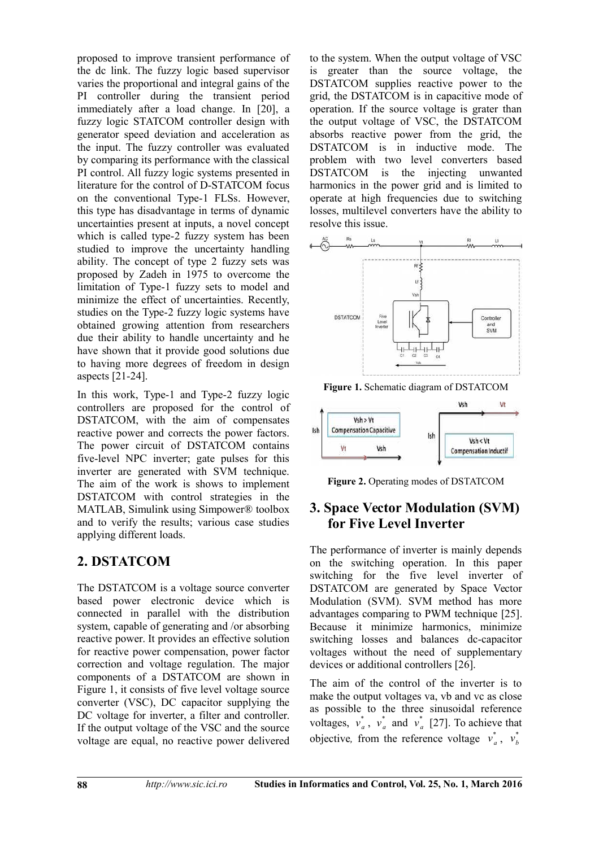proposed to improve transient performance of the dc link. The fuzzy logic based supervisor varies the proportional and integral gains of the PI controller during the transient period immediately after a load change. In [20], a fuzzy logic STATCOM controller design with generator speed deviation and acceleration as the input. The fuzzy controller was evaluated by comparing its performance with the classical PI control. All fuzzy logic systems presented in literature for the control of D-STATCOM focus on the conventional Type-1 FLSs. However, this type has disadvantage in terms of dynamic uncertainties present at inputs, a novel concept which is called type-2 fuzzy system has been studied to improve the uncertainty handling ability. The concept of type 2 fuzzy sets was proposed by Zadeh in 1975 to overcome the limitation of Type-1 fuzzy sets to model and minimize the effect of uncertainties. Recently, studies on the Type-2 fuzzy logic systems have obtained growing attention from researchers due their ability to handle uncertainty and he have shown that it provide good solutions due to having more degrees of freedom in design aspects [21-24].

In this work, Type-1 and Type-2 fuzzy logic controllers are proposed for the control of DSTATCOM, with the aim of compensates reactive power and corrects the power factors. The power circuit of DSTATCOM contains five-level NPC inverter; gate pulses for this inverter are generated with SVM technique. The aim of the work is shows to implement DSTATCOM with control strategies in the MATLAB, Simulink using Simpower® toolbox and to verify the results; various case studies applying different loads.

## **2. DSTATCOM**

The DSTATCOM is a voltage source converter based power electronic device which is connected in parallel with the distribution system, capable of generating and /or absorbing reactive power. It provides an effective solution for reactive power compensation, power factor correction and voltage regulation. The major components of a DSTATCOM are shown in Figure 1, it consists of five level voltage source converter (VSC), DC capacitor supplying the DC voltage for inverter, a filter and controller. If the output voltage of the VSC and the source voltage are equal, no reactive power delivered

to the system. When the output voltage of VSC is greater than the source voltage, the DSTATCOM supplies reactive power to the grid, the DSTATCOM is in capacitive mode of operation. If the source voltage is grater than the output voltage of VSC, the DSTATCOM absorbs reactive power from the grid, the DSTATCOM is in inductive mode. The problem with two level converters based DSTATCOM is the injecting unwanted harmonics in the power grid and is limited to operate at high frequencies due to switching losses, multilevel converters have the ability to resolve this issue.



**Figure 1.** Schematic diagram of DSTATCOM



**Figure 2.** Operating modes of DSTATCOM

## **3. Space Vector Modulation (SVM) for Five Level Inverter**

The performance of inverter is mainly depends on the switching operation. In this paper switching for the five level inverter of DSTATCOM are generated by Space Vector Modulation (SVM). SVM method has more advantages comparing to PWM technique [25]. Because it minimize harmonics, minimize switching losses and balances dc-capacitor voltages without the need of supplementary devices or additional controllers [26].

The aim of the control of the inverter is to make the output voltages va, vb and vc as close as possible to the three sinusoidal reference voltages,  $v_a^*$ ,  $v_a^*$  and  $v_a^*$  [27]. To achieve that objective, from the reference voltage  $v_a^*$ ,  $v_b^*$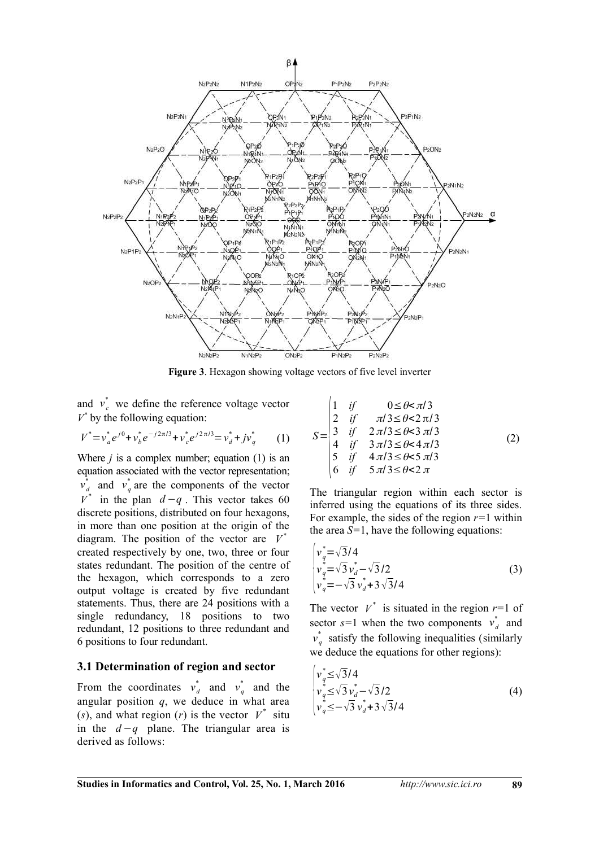

**Figure 3**. Hexagon showing voltage vectors of five level inverter

and  $v_c^*$  we define the reference voltage vector  $V^*$  by the following equation:

$$
V^* = v_a^* e^{j0} + v_b^* e^{-j2\pi/3} + v_c^* e^{j2\pi/3} = v_d^* + jv_q^* \qquad (1)
$$

Where  $j$  is a complex number; equation (1) is an equation associated with the vector representation;  $v_d^*$  and  $v_q^*$  are the components of the vector  $V^*$  in the plan  $d-q$ . This vector takes 60 discrete positions, distributed on four hexagons, in more than one position at the origin of the diagram. The position of the vector are  $V^*$ created respectively by one, two, three or four states redundant. The position of the centre of the hexagon, which corresponds to a zero output voltage is created by five redundant statements. Thus, there are 24 positions with a single redundancy, 18 positions to two redundant, 12 positions to three redundant and 6 positions to four redundant.

#### **3.1 Determination of region and sector**

From the coordinates  $v_d^*$  and  $v_q^*$  and the angular position  $q$ , we deduce in what area (*s*), and what region (*r*) is the vector  $V^*$  situ in the *d* −*q* plane. The triangular area is derived as follows:

$$
S = \begin{vmatrix} 1 & \text{if} & 0 \le \theta < \pi/3 \\ 2 & \text{if} & \pi/3 \le \theta < 2\pi/3 \\ 3 & \text{if} & 2\pi/3 \le \theta < 3\pi/3 \\ 4 & \text{if} & 3\pi/3 \le \theta < 4\pi/3 \\ 5 & \text{if} & 4\pi/3 \le \theta < 5\pi/3 \\ 6 & \text{if} & 5\pi/3 \le \theta < 2\pi \end{vmatrix}
$$
 (2)

The triangular region within each sector is inferred using the equations of its three sides. For example, the sides of the region *r=*1 within the area *S=*1, have the following equations:

$$
\begin{cases}\nv_q^* = \sqrt{3}/4 \\
v_q^* = \sqrt{3}v_d^* - \sqrt{3}/2 \\
v_q^* = -\sqrt{3}v_d^* + 3\sqrt{3}/4\n\end{cases} (3)
$$

The vector  $V^*$  is situated in the region  $r=1$  of sector  $s=1$  when the two components  $v_d^*$  and  $v_q^*$  satisfy the following inequalities (similarly we deduce the equations for other regions):

$$
\begin{cases}\nv_q^* \le \sqrt{3}/4 \\
v_q^* \le \sqrt{3}v_d^* - \sqrt{3}/2 \\
v_q^* \le -\sqrt{3}v_d^* + 3\sqrt{3}/4\n\end{cases} (4)
$$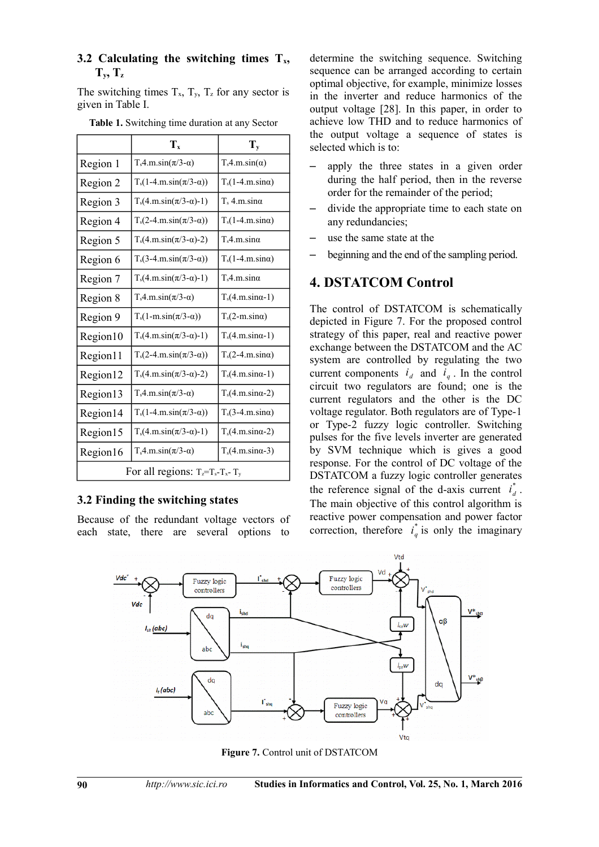#### **3.2 Calculating the switching times Tx,**  $T_x, T_z$

The switching times  $T_x$ ,  $T_y$ ,  $T_z$  for any sector is given in Table I.

|                                          | $T_{x}$                         | $T_{v}$                     |  |  |  |
|------------------------------------------|---------------------------------|-----------------------------|--|--|--|
| Region 1                                 | $T_s4.m.\sin(\pi/3-\alpha)$     | $T_s4.m.sin(\alpha)$        |  |  |  |
| Region 2                                 | $T_s(1-4.m.\sin(\pi/3-\alpha))$ | $T_s(1-4.m.sin\alpha)$      |  |  |  |
| Region 3                                 | $T_s(4.m.\sin(\pi/3-\alpha)-1)$ | $T_s$ 4.m.sin $\alpha$      |  |  |  |
| Region 4                                 | $T_s(2-4.m.\sin(\pi/3-\alpha))$ | $T_s(1-4.m.\sin\alpha)$     |  |  |  |
| Region 5                                 | $T_s(4.m.\sin(\pi/3-\alpha)-2)$ | $T_s4.m.sin\alpha$          |  |  |  |
| Region 6                                 | $T_s(3-4.m.\sin(\pi/3-\alpha))$ | $T_s(1-4.m.\sin\alpha)$     |  |  |  |
| Region 7                                 | $T_s(4.m.\sin(\pi/3-\alpha)-1)$ | $T_s4.m.sin\alpha$          |  |  |  |
| Region 8                                 | $T_s4.m.\sin(\pi/3-\alpha)$     | $T_s(4.m.\sin\alpha-1)$     |  |  |  |
| Region 9                                 | $T_s(1-m.\sin(\pi/3-\alpha))$   | $T_s(2-m.\sin\alpha)$       |  |  |  |
| Region10                                 | $T_s(4.m.\sin(\pi/3-\alpha)-1)$ | $T_s(4.m.\sin\alpha-1)$     |  |  |  |
| Region11                                 | $T_s(2-4.m.\sin(\pi/3-\alpha))$ | $T_s(2-4.m.sin\alpha)$      |  |  |  |
| Region12                                 | $T_s(4.m.\sin(\pi/3-\alpha)-2)$ | $T_s(4.m.sina-1)$           |  |  |  |
| Region13                                 | $T_s4.m.\sin(\pi/3-\alpha)$     | $T_s(4.m.\sin\alpha-2)$     |  |  |  |
| Region14                                 | $T_s(1-4.m.\sin(\pi/3-\alpha))$ | $T_s$ (3-4.m.sin $\alpha$ ) |  |  |  |
| Region15                                 | $T_s(4.m.\sin(\pi/3-\alpha)-1)$ | $T_s(4.m.\sin\alpha-2)$     |  |  |  |
| Region16                                 | $T_s4.m.\sin(\pi/3-\alpha)$     | $T_s(4.m.\sin\alpha-3)$     |  |  |  |
| For all regions: $T_z = T_s - T_x - T_y$ |                                 |                             |  |  |  |

**Table 1.** Switching time duration at any Sector

### **3.2 Finding the switching states**

Because of the redundant voltage vectors of each state, there are several options to

determine the switching sequence. Switching sequence can be arranged according to certain optimal objective, for example, minimize losses in the inverter and reduce harmonics of the output voltage [28]. In this paper, in order to achieve low THD and to reduce harmonics of the output voltage a sequence of states is selected which is to:

- apply the three states in a given order during the half period, then in the reverse order for the remainder of the period;
- divide the appropriate time to each state on any redundancies;
- use the same state at the
- beginning and the end of the sampling period.

### **4. DSTATCOM Control**

The control of DSTATCOM is schematically depicted in Figure 7. For the proposed control strategy of this paper, real and reactive power exchange between the DSTATCOM and the AC system are controlled by regulating the two current components  $i_d$  and  $i_q$ . In the control circuit two regulators are found; one is the current regulators and the other is the DC voltage regulator. Both regulators are of Type-1 or Type-2 fuzzy logic controller. Switching pulses for the five levels inverter are generated by SVM technique which is gives a good response. For the control of DC voltage of the DSTATCOM a fuzzy logic controller generates the reference signal of the d-axis current  $\vec{i}_d$ \* . The main objective of this control algorithm is reactive power compensation and power factor correction, therefore  $i_q^*$  $_{a}^{*}$  is only the imaginary



**Figure 7.** Control unit of DSTATCOM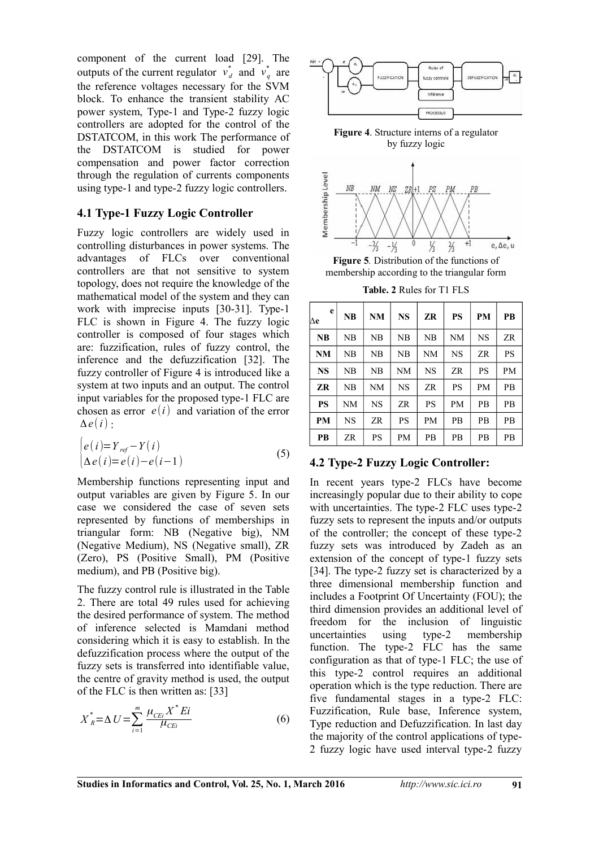component of the current load [29]. The outputs of the current regulator  $v_d^*$  and  $v_q^*$  are the reference voltages necessary for the SVM block. To enhance the transient stability AC power system, Type-1 and Type-2 fuzzy logic controllers are adopted for the control of the DSTATCOM, in this work The performance of the DSTATCOM is studied for power compensation and power factor correction through the regulation of currents components using type-1 and type-2 fuzzy logic controllers.

#### **4.1 Type-1 Fuzzy Logic Controller**

Fuzzy logic controllers are widely used in controlling disturbances in power systems. The advantages of FLCs over conventional controllers are that not sensitive to system topology, does not require the knowledge of the mathematical model of the system and they can work with imprecise inputs [30-31]. Type-1 FLC is shown in Figure 4. The fuzzy logic controller is composed of four stages which are: fuzzification, rules of fuzzy control, the inference and the defuzzification [32]. The fuzzy controller of Figure 4 is introduced like a system at two inputs and an output. The control input variables for the proposed type-1 FLC are chosen as error  $e(i)$  and variation of the error Δ*e*(*i*) :

$$
\begin{cases}\ne(i)=Y_{ref}-Y(i)\\ \Delta e(i)=e(i)-e(i-1)\end{cases}
$$
\n(5)

Membership functions representing input and output variables are given by Figure 5. In our case we considered the case of seven sets represented by functions of memberships in triangular form: NB (Negative big), NM (Negative Medium), NS (Negative small), ZR (Zero), PS (Positive Small), PM (Positive medium), and PB (Positive big).

The fuzzy control rule is illustrated in the Table 2. There are total 49 rules used for achieving the desired performance of system. The method of inference selected is Mamdani method considering which it is easy to establish. In the defuzzification process where the output of the fuzzy sets is transferred into identifiable value, the centre of gravity method is used, the output of the FLC is then written as: [33]

$$
X_{R}^{*} = \Delta U = \sum_{i=1}^{m} \frac{\mu_{CEi} X^{*} E i}{\mu_{CEi}} \tag{6}
$$



**Figure 4**. Structure interns of a regulator by fuzzy logic



**Figure 5***.* Distribution of the functions of membership according to the triangular form

**Table. 2** Rules for T1 FLS

| e<br>Δe   | NB        | <b>NM</b> | <b>NS</b> | ZR        | PS        | <b>PM</b> | <b>PB</b> |
|-----------|-----------|-----------|-----------|-----------|-----------|-----------|-----------|
| <b>NB</b> | NB        | NΒ        | NB        | NB        | <b>NM</b> | NS        | ZR        |
| <b>NM</b> | NB        | NB        | NB        | NΜ        | <b>NS</b> | ZR        | PS        |
| <b>NS</b> | NB        | NB        | <b>NM</b> | <b>NS</b> | ZR        | <b>PS</b> | PM        |
| ZR        | NB        | NM        | <b>NS</b> | ZR        | <b>PS</b> | <b>PM</b> | PB        |
| <b>PS</b> | NΜ        | <b>NS</b> | ZR        | <b>PS</b> | <b>PM</b> | PB        | PB        |
| <b>PM</b> | <b>NS</b> | <b>ZR</b> | <b>PS</b> | <b>PM</b> | PB        | <b>PB</b> | PB        |
| <b>PB</b> | ZR        | PS        | PM        | <b>PB</b> | <b>PB</b> | <b>PB</b> | PB        |

### **4.2 Type-2 Fuzzy Logic Controller:**

In recent years type-2 FLCs have become increasingly popular due to their ability to cope with uncertainties. The type-2 FLC uses type-2 fuzzy sets to represent the inputs and/or outputs of the controller; the concept of these type-2 fuzzy sets was introduced by Zadeh as an extension of the concept of type-1 fuzzy sets [34]. The type-2 fuzzy set is characterized by a three dimensional membership function and includes a Footprint Of Uncertainty (FOU); the third dimension provides an additional level of freedom for the inclusion of linguistic uncertainties using type-2 membership function. The type-2 FLC has the same configuration as that of type-1 FLC; the use of this type-2 control requires an additional operation which is the type reduction. There are five fundamental stages in a type-2 FLC: Fuzzification, Rule base, Inference system, Type reduction and Defuzzification. In last day the majority of the control applications of type-2 fuzzy logic have used interval type-2 fuzzy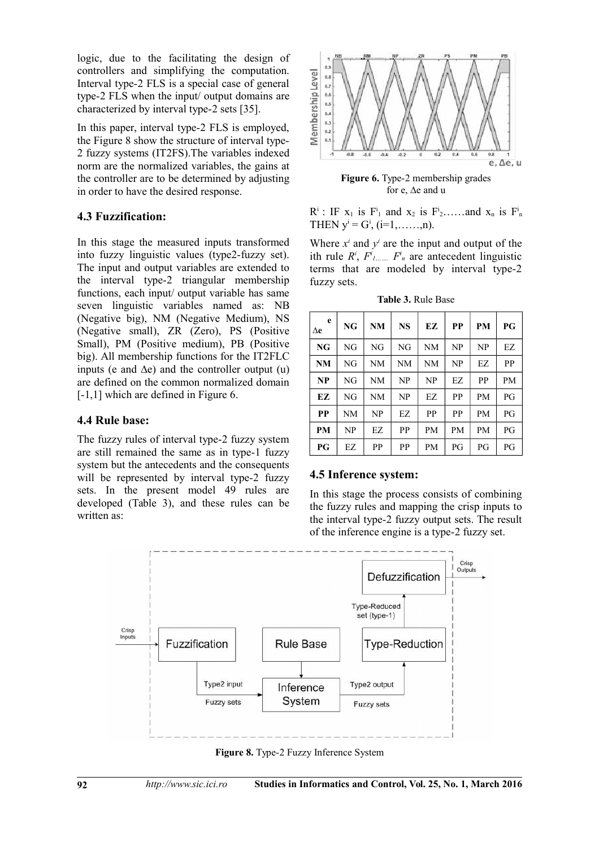logic, due to the facilitating the design of controllers and simplifying the computation. Interval type-2 FLS is a special case of general type-2 FLS when the input/ output domains are characterized by interval type-2 sets [35].

In this paper, interval type-2 FLS is employed, the Figure 8 show the structure of interval type-2 fuzzy systems (IT2FS).The variables indexed norm are the normalized variables, the gains at the controller are to be determined by adjusting in order to have the desired response.

### **4.3 Fuzzification:**

In this stage the measured inputs transformed into fuzzy linguistic values (type2-fuzzy set). The input and output variables are extended to the interval type-2 triangular membership functions, each input/ output variable has same seven linguistic variables named as: NB (Negative big), NM (Negative Medium), NS (Negative small), ZR (Zero), PS (Positive Small), PM (Positive medium), PB (Positive big). All membership functions for the IT2FLC inputs (e and  $\Delta e$ ) and the controller output (u) are defined on the common normalized domain [-1,1] which are defined in Figure 6.

### **4.4 Rule base:**

The fuzzy rules of interval type-2 fuzzy system are still remained the same as in type-1 fuzzy system but the antecedents and the consequents will be represented by interval type-2 fuzzy sets. In the present model 49 rules are developed (Table 3), and these rules can be written as:



**Figure 6.** Type-2 membership grades for e, ∆e and u

 $R^i$ : IF  $x_1$  is  $F^i_1$  and  $x_2$  is  $F^i_2$ ......and  $x_n$  is  $F^i_n$ THEN  $y^i = G^i$ , (i=1,.....,n).

Where  $x^i$  and  $y^i$  are the input and output of the ith rule  $R^i$ ,  $F^i$ <sub>*l……..*</sub>  $F^i$ <sub>*n*</sub> are antecedent linguistic terms that are modeled by interval type-2 fuzzy sets.

**Table 3.** Rule Base

| e<br>Δe   | NG | NM        | <b>NS</b> | EZ        | PP | <b>PM</b> | PG        |
|-----------|----|-----------|-----------|-----------|----|-----------|-----------|
| NG        | NG | NG        | NG        | NM        | NP | NP        | EZ        |
| <b>NM</b> | NG | NM        | NM        | <b>NM</b> | NP | EZ        | PP        |
| NP        | NG | NM        | NP        | NP        | EZ | PP        | <b>PM</b> |
| EZ.       | NG | <b>NM</b> | NP        | EZ.       | PP | <b>PM</b> | PG        |
| <b>PP</b> | NΜ | NP        | EZ        | PP        | PP | <b>PM</b> | PG        |
| <b>PM</b> | NP | EZ        | PP        | <b>PM</b> | PM | <b>PM</b> | PG        |
| P G       | EZ | PP        | PP        | PM        | PG | PG        | PG        |

#### **4.5 Inference system:**

In this stage the process consists of combining the fuzzy rules and mapping the crisp inputs to the interval type-2 fuzzy output sets. The result of the inference engine is a type-2 fuzzy set.



**Figure 8.** Type-2 Fuzzy Inference System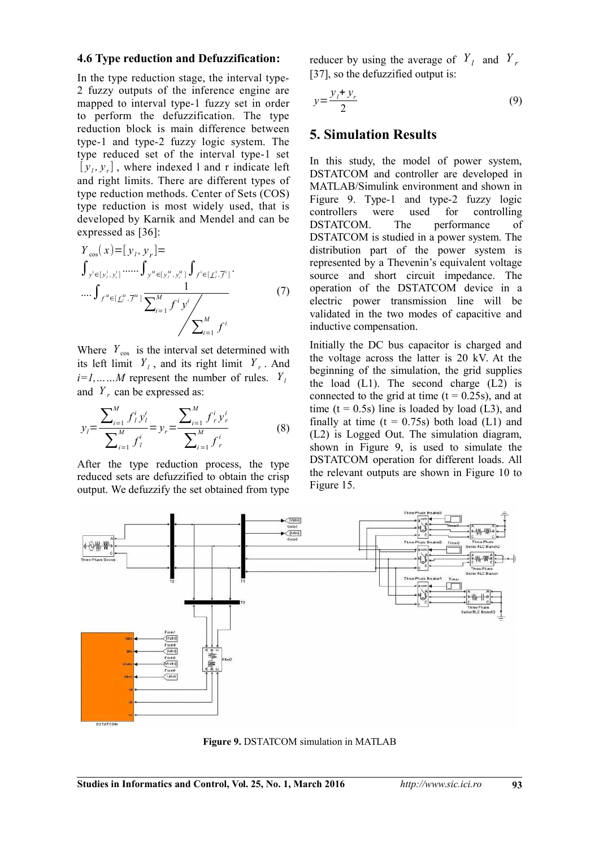#### **4.6 Type reduction and Defuzzification:**

In the type reduction stage, the interval type-2 fuzzy outputs of the inference engine are mapped to interval type-1 fuzzy set in order to perform the defuzzification. The type reduction block is main difference between type-1 and type-2 fuzzy logic system. The type reduced set of the interval type-1 set  $[y_i, y_r]$ , where indexed l and r indicate left and right limits. There are different types of type reduction methods. Center of Sets (COS) type reduction is most widely used, that is developed by Karnik and Mendel and can be expressed as [36]:

$$
Y_{\cos}(x) = [y_i, y_r] =
$$
  
\n
$$
\int_{y^i \in [y_i^1, y_r^1]} \cdots \int_{y^M \in [y_i^M, y_r^M]} \int_{f^i \in [f_i^1, \overline{f}^1]} \cdots \int_{f^M \in [f_i^M, \overline{f}^M]} \cdots \int_{f^M \in [f_i^M, \overline{f}^M]} \frac{1}{\sum_{i=1}^M f^i y^i} \qquad (7)
$$

Where  $Y_{\text{cos}}$  is the interval set determined with its left limit  $Y_l$ , and its right limit  $Y_r$ . And  $i=1, \ldots, M$  represent the number of rules.  $Y_i$ and  $Y_r$  can be expressed as:

$$
y_{l} = \frac{\sum_{i=1}^{M} f_{l}^{i} y_{l}^{i}}{\sum_{i=1}^{M} f_{l}^{i}} = y_{r} = \frac{\sum_{i=1}^{M} f_{r}^{i} y_{r}^{i}}{\sum_{i=1}^{M} f_{r}^{i}}
$$
(8)

After the type reduction process, the type reduced sets are defuzzified to obtain the crisp output. We defuzzify the set obtained from type

reducer by using the average of  $Y_l$  and  $Y_r$ [37], so the defuzzified output is:

$$
y = \frac{y_i + y_r}{2} \tag{9}
$$

#### **5. Simulation Results**

In this study, the model of power system, DSTATCOM and controller are developed in MATLAB/Simulink environment and shown in Figure 9. Type-1 and type-2 fuzzy logic controllers were used for controlling DSTATCOM. The performance of DSTATCOM is studied in a power system. The distribution part of the power system is represented by a Thevenin's equivalent voltage source and short circuit impedance. The operation of the DSTATCOM device in a electric power transmission line will be validated in the two modes of capacitive and inductive compensation.

Initially the DC bus capacitor is charged and the voltage across the latter is 20 kV. At the beginning of the simulation, the grid supplies the load  $(L1)$ . The second charge  $(L2)$  is connected to the grid at time  $(t = 0.25s)$ , and at time ( $t = 0.5$ s) line is loaded by load (L3), and finally at time  $(t = 0.75s)$  both load  $(L1)$  and (L2) is Logged Out. The simulation diagram, shown in Figure 9, is used to simulate the DSTATCOM operation for different loads. All the relevant outputs are shown in Figure 10 to Figure 15.



**Figure 9.** DSTATCOM simulation in MATLAB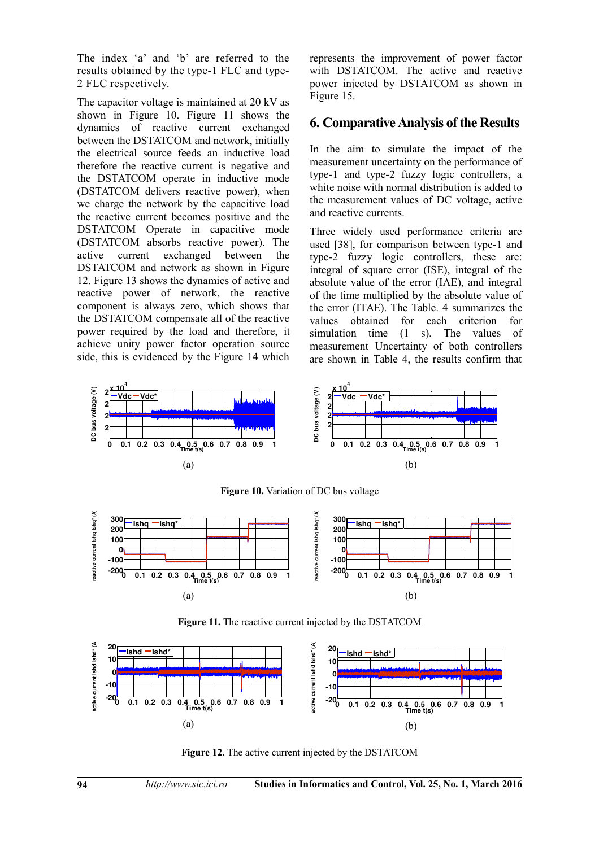The index 'a' and 'b' are referred to the results obtained by the type-1 FLC and type-2 FLC respectively.

The capacitor voltage is maintained at 20 kV as shown in Figure 10. Figure 11 shows the dynamics of reactive current exchanged between the DSTATCOM and network, initially the electrical source feeds an inductive load therefore the reactive current is negative and the DSTATCOM operate in inductive mode (DSTATCOM delivers reactive power), when we charge the network by the capacitive load the reactive current becomes positive and the DSTATCOM Operate in capacitive mode (DSTATCOM absorbs reactive power). The active current exchanged between the DSTATCOM and network as shown in Figure 12. Figure 13 shows the dynamics of active and reactive power of network, the reactive component is always zero, which shows that the DSTATCOM compensate all of the reactive power required by the load and therefore, it achieve unity power factor operation source side, this is evidenced by the Figure 14 which

represents the improvement of power factor with DSTATCOM. The active and reactive power injected by DSTATCOM as shown in Figure 15.

#### **6. Comparative Analysis of the Results**

In the aim to simulate the impact of the measurement uncertainty on the performance of type-1 and type-2 fuzzy logic controllers, a white noise with normal distribution is added to the measurement values of DC voltage, active and reactive currents.

Three widely used performance criteria are used [38], for comparison between type-1 and type-2 fuzzy logic controllers, these are: integral of square error (ISE), integral of the absolute value of the error (IAE), and integral of the time multiplied by the absolute value of the error (ITAE). The Table. 4 summarizes the values obtained for each criterion for simulation time (1 s). The values of measurement Uncertainty of both controllers are shown in Table 4, the results confirm that



**Figure 10.** Variation of DC bus voltage



**Figure 11.** The reactive current injected by the DSTATCOM



**Figure 12.** The active current injected by the DSTATCOM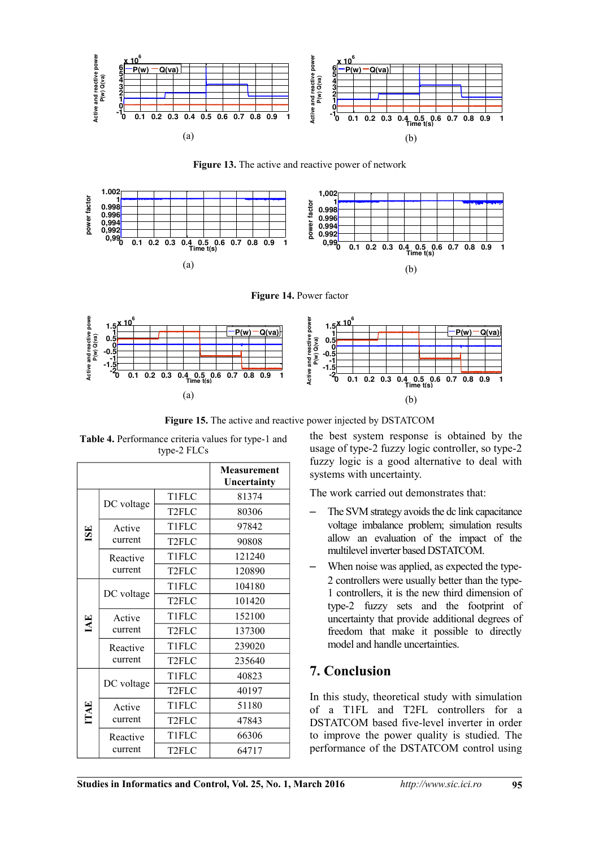

**Figure 13.** The active and reactive power of network



**Figure 14.** Power factor



**Figure 15.** The active and reactive power injected by DSTATCOM

|             | ., P       |                    |                                   |  |  |  |
|-------------|------------|--------------------|-----------------------------------|--|--|--|
|             |            |                    | <b>Measurement</b><br>Uncertainty |  |  |  |
| <b>ISE</b>  |            | T1FLC              | 81374                             |  |  |  |
|             | DC voltage | T <sub>2FLC</sub>  | 80306                             |  |  |  |
|             | Active     | <b>T1FLC</b>       | 97842                             |  |  |  |
|             | current    | T <sub>2FLC</sub>  | 90808                             |  |  |  |
|             | Reactive   | T1FLC              | 121240                            |  |  |  |
|             | current    | T <sub>2FLC</sub>  | 120890                            |  |  |  |
| IAE         |            | T1FLC              | 104180                            |  |  |  |
|             | DC voltage | T <sub>2</sub> FLC | 101420                            |  |  |  |
|             | Active     | T1FLC              | 152100                            |  |  |  |
|             | current    | T <sub>2FLC</sub>  | 137300                            |  |  |  |
|             | Reactive   | T1FLC              | 239020                            |  |  |  |
|             | current    | T <sub>2FLC</sub>  | 235640                            |  |  |  |
| <b>ITAE</b> | DC voltage | <b>T1FLC</b>       | 40823                             |  |  |  |
|             |            | T <sub>2FLC</sub>  | 40197                             |  |  |  |
|             | Active     | T1FLC              | 51180                             |  |  |  |
|             | current    | T <sub>2</sub> FLC | 47843                             |  |  |  |
|             | Reactive   | T1FLC              | 66306                             |  |  |  |
|             | current    | T <sub>2FLC</sub>  | 64717                             |  |  |  |

**Table 4.** Performance criteria values for type-1 and type-2 FLCs

the best system response is obtained by the usage of type-2 fuzzy logic controller, so type-2 fuzzy logic is a good alternative to deal with systems with uncertainty.

The work carried out demonstrates that:

- The SVM strategy avoids the dc link capacitance voltage imbalance problem; simulation results allow an evaluation of the impact of the multilevel inverter based DSTATCOM.
- When noise was applied, as expected the type-2 controllers were usually better than the type-1 controllers, it is the new third dimension of type-2 fuzzy sets and the footprint of uncertainty that provide additional degrees of freedom that make it possible to directly model and handle uncertainties.

## **7. Conclusion**

In this study, theoretical study with simulation of a T1FL and T2FL controllers for a DSTATCOM based five-level inverter in order to improve the power quality is studied. The performance of the DSTATCOM control using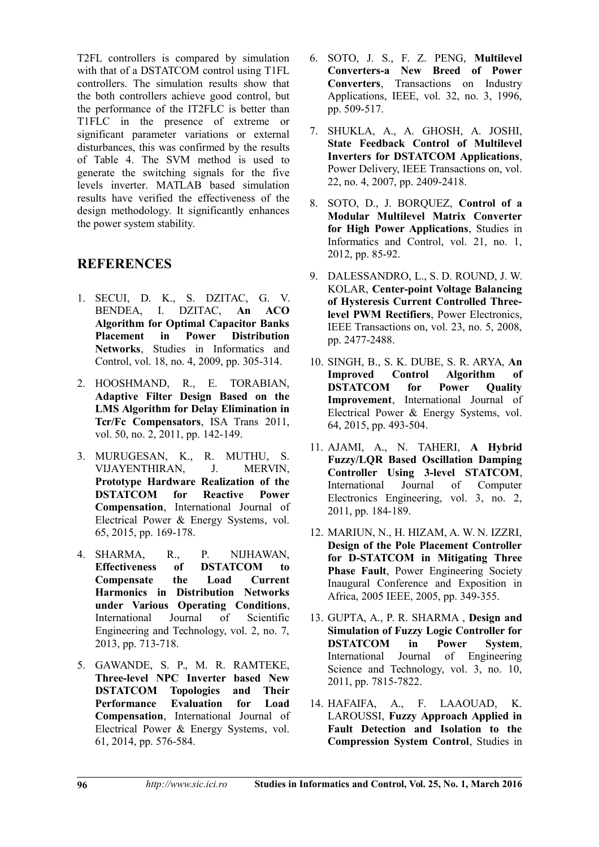T2FL controllers is compared by simulation with that of a DSTATCOM control using T1FL controllers. The simulation results show that the both controllers achieve good control, but the performance of the IT2FLC is better than T1FLC in the presence of extreme or significant parameter variations or external disturbances, this was confirmed by the results of Table 4. The SVM method is used to generate the switching signals for the five levels inverter. MATLAB based simulation results have verified the effectiveness of the design methodology. It significantly enhances the power system stability.

## **REFERENCES**

- 1. SECUI, D. K., S. DZITAC, G. V. BENDEA, I. DZITAC, **An ACO Algorithm for Optimal Capacitor Banks Placement in Power Distribution Networks**, Studies in Informatics and Control, vol. 18, no. 4, 2009, pp. 305-314.
- 2. HOOSHMAND, R., E. TORABIAN, **Adaptive Filter Design Based on the LMS Algorithm for Delay Elimination in Tcr/Fc Compensators**, ISA Trans 2011, vol. 50, no. 2, 2011, pp. 142-149.
- 3. MURUGESAN, K., R. MUTHU, S. VIJAYENTHIRAN, J. MERVIN, **Prototype Hardware Realization of the DSTATCOM for Reactive Power Compensation**, International Journal of Electrical Power & Energy Systems, vol. 65, 2015, pp. 169-178.
- 4. SHARMA, R., P. NIJHAWAN, **Effectiveness of DSTATCOM to Compensate the Load Current Harmonics in Distribution Networks under Various Operating Conditions**, International Journal of Scientific Engineering and Technology, vol. 2, no. 7, 2013, pp. 713-718.
- 5. GAWANDE, S. P., M. R. RAMTEKE, **Three-level NPC Inverter based New DSTATCOM Topologies and Their Performance Evaluation for Load Compensation**, International Journal of Electrical Power & Energy Systems, vol. 61, 2014, pp. 576-584.
- 6. SOTO, J. S., F. Z. PENG, **Multilevel Converters-a New Breed of Power Converters**, Transactions on Industry Applications, IEEE, vol. 32, no. 3, 1996, pp. 509-517.
- 7. SHUKLA, A., A. GHOSH, A. JOSHI, **State Feedback Control of Multilevel Inverters for DSTATCOM Applications**, Power Delivery, IEEE Transactions on, vol. 22, no. 4, 2007, pp. 2409-2418.
- 8. SOTO, D., J. BORQUEZ, **Control of a Modular Multilevel Matrix Converter for High Power Applications**, Studies in Informatics and Control, vol. 21, no. 1, 2012, pp. 85-92.
- 9. DALESSANDRO, L., S. D. ROUND, J. W. KOLAR, **Center-point Voltage Balancing of Hysteresis Current Controlled Threelevel PWM Rectifiers**, Power Electronics, IEEE Transactions on, vol. 23, no. 5, 2008, pp. 2477-2488.
- 10. SINGH, B., S. K. DUBE, S. R. ARYA, **An Improved Control Algorithm of DSTATCOM for Power Quality Improvement**, International Journal of Electrical Power & Energy Systems, vol. 64, 2015, pp. 493-504.
- 11. AJAMI, A., N. TAHERI, **A Hybrid Fuzzy/LQR Based Oscillation Damping Controller Using 3-level STATCOM**, International Journal of Computer Electronics Engineering, vol. 3, no. 2, 2011, pp. 184-189.
- 12. MARIUN, N., H. HIZAM, A. W. N. IZZRI, **Design of the Pole Placement Controller for D-STATCOM in Mitigating Three Phase Fault**, Power Engineering Society Inaugural Conference and Exposition in Africa, 2005 IEEE, 2005, pp. 349-355.
- 13. GUPTA, A., P. R. SHARMA , **Design and Simulation of Fuzzy Logic Controller for DSTATCOM in Power System**, International Journal of Engineering Science and Technology, vol. 3, no. 10, 2011, pp. 7815-7822.
- 14. HAFAIFA, A., F. LAAOUAD, K. LAROUSSI, **Fuzzy Approach Applied in Fault Detection and Isolation to the Compression System Control**, Studies in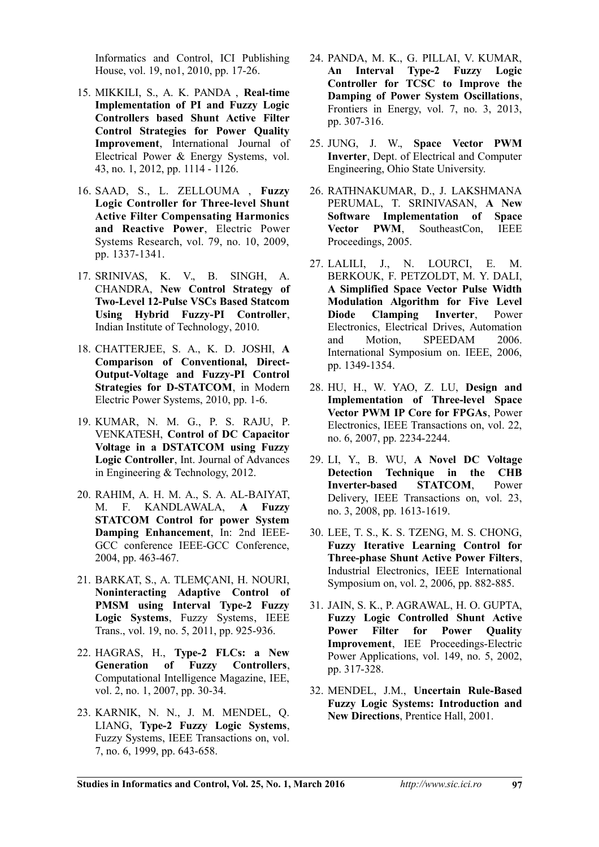Informatics and Control, ICI Publishing House, vol. 19, no1, 2010, pp. 17-26.

- 15. MIKKILI, S., A. K. PANDA , **Real-time Implementation of PI and Fuzzy Logic Controllers based Shunt Active Filter Control Strategies for Power Quality Improvement**, International Journal of Electrical Power & Energy Systems, vol. 43, no. 1, 2012, pp. 1114 - 1126.
- 16. SAAD, S., L. ZELLOUMA , **Fuzzy Logic Controller for Three-level Shunt Active Filter Compensating Harmonics and Reactive Power**, Electric Power Systems Research, vol. 79, no. 10, 2009, pp. 1337-1341.
- 17. SRINIVAS, K. V., B. SINGH, A. CHANDRA, **New Control Strategy of Two-Level 12-Pulse VSCs Based Statcom Using Hybrid Fuzzy-PI Controller**, Indian Institute of Technology, 2010.
- 18. CHATTERJEE, S. A., K. D. JOSHI, **A Comparison of Conventional, Direct-Output-Voltage and Fuzzy-PI Control Strategies for D-STATCOM**, in Modern Electric Power Systems, 2010, pp. 1-6.
- 19. KUMAR, N. M. G., P. S. RAJU, P. VENKATESH, **Control of DC Capacitor Voltage in a DSTATCOM using Fuzzy Logic Controller**, Int. Journal of Advances in Engineering & Technology, 2012.
- 20. RAHIM, A. H. M. A., S. A. AL-BAIYAT, M. F. KANDLAWALA, **A Fuzzy STATCOM Control for power System Damping Enhancement**, In: 2nd IEEE-GCC conference IEEE-GCC Conference, 2004, pp. 463-467.
- 21. BARKAT, S., A. TLEMÇANI, H. NOURI, **Noninteracting Adaptive Control of PMSM using Interval Type-2 Fuzzy Logic Systems**, Fuzzy Systems, IEEE Trans., vol. 19, no. 5, 2011, pp. 925-936.
- 22. HAGRAS, H., **Type-2 FLCs: a New Generation of Fuzzy Controllers**, Computational Intelligence Magazine, IEE, vol. 2, no. 1, 2007, pp. 30-34.
- 23. KARNIK, N. N., J. M. MENDEL, Q. LIANG, **Type-2 Fuzzy Logic Systems**, Fuzzy Systems, IEEE Transactions on, vol. 7, no. 6, 1999, pp. 643-658.
- 24. PANDA, M. K., G. PILLAI, V. KUMAR, **An Interval Type-2 Fuzzy Logic Controller for TCSC to Improve the Damping of Power System Oscillations**, Frontiers in Energy, vol. 7, no. 3, 2013, pp. 307-316.
- 25. JUNG, J. W., **Space Vector PWM Inverter**, Dept. of Electrical and Computer Engineering, Ohio State University.
- 26. RATHNAKUMAR, D., J. LAKSHMANA PERUMAL, T. SRINIVASAN, **A New Software Implementation of Space Vector PWM**, SoutheastCon, IEEE Proceedings, 2005.
- 27. LALILI, J., N. LOURCI, E. M. BERKOUK, F. PETZOLDT, M. Y. DALI, **A Simplified Space Vector Pulse Width Modulation Algorithm for Five Level Diode Clamping Inverter**, Power Electronics, Electrical Drives, Automation and Motion, SPEEDAM 2006. International Symposium on. IEEE, 2006, pp. 1349-1354.
- 28. HU, H., W. YAO, Z. LU, **Design and Implementation of Three-level Space Vector PWM IP Core for FPGAs**, Power Electronics, IEEE Transactions on, vol. 22, no. 6, 2007, pp. 2234-2244.
- 29. LI, Y., B. WU, **A Novel DC Voltage Detection Technique in the CHB Inverter-based STATCOM**, Power Delivery, IEEE Transactions on, vol. 23, no. 3, 2008, pp. 1613-1619.
- 30. LEE, T. S., K. S. TZENG, M. S. CHONG, **Fuzzy Iterative Learning Control for Three-phase Shunt Active Power Filters**, Industrial Electronics, IEEE International Symposium on, vol. 2, 2006, pp. 882-885.
- 31. JAIN, S. K., P. AGRAWAL, H. O. GUPTA, **Fuzzy Logic Controlled Shunt Active Power Filter for Power Quality Improvement**, IEE Proceedings-Electric Power Applications, vol. 149, no. 5, 2002, pp. 317-328.
- 32. MENDEL, J.M., **Uncertain Rule-Based Fuzzy Logic Systems: Introduction and New Directions**, Prentice Hall, 2001.